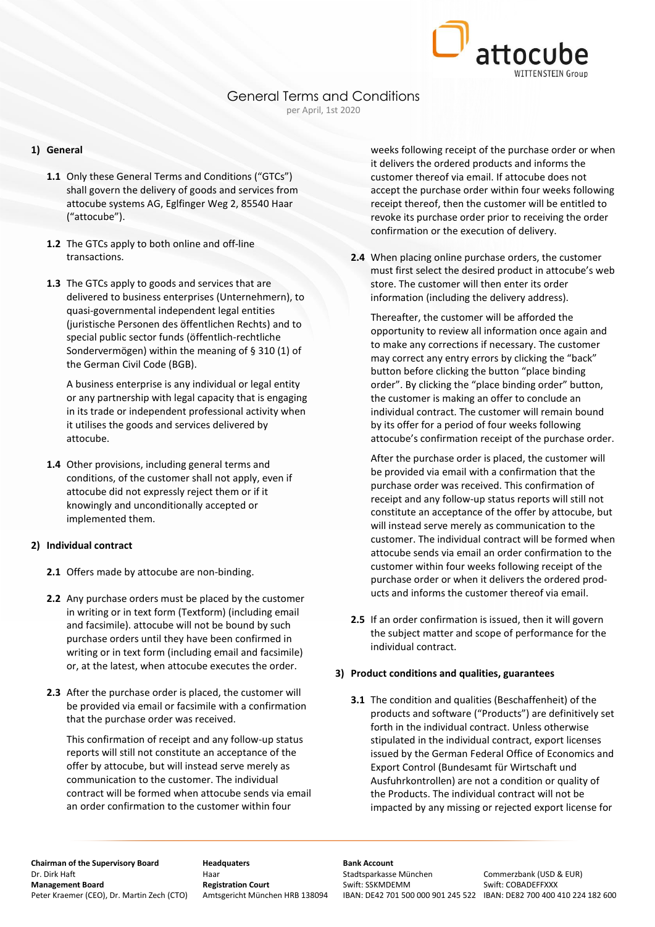

#### **1) General**

- **1.1** Only these General Terms and Conditions ("GTCs") shall govern the delivery of goods and services from attocube systems AG, Eglfinger Weg 2, 85540 Haar ("attocube").
- **1.2** The GTCs apply to both online and off-line transactions.
- **1.3** The GTCs apply to goods and services that are delivered to business enterprises (Unternehmern), to quasi-governmental independent legal entities (juristische Personen des öffentlichen Rechts) and to special public sector funds (öffentlich-rechtliche Sondervermögen) within the meaning of § 310 (1) of the German Civil Code (BGB).

A business enterprise is any individual or legal entity or any partnership with legal capacity that is engaging in its trade or independent professional activity when it utilises the goods and services delivered by attocube.

**1.4** Other provisions, including general terms and conditions, of the customer shall not apply, even if attocube did not expressly reject them or if it knowingly and unconditionally accepted or implemented them.

#### **2) Individual contract**

- **2.1** Offers made by attocube are non-binding.
- **2.2** Any purchase orders must be placed by the customer in writing or in text form (Textform) (including email and facsimile). attocube will not be bound by such purchase orders until they have been confirmed in writing or in text form (including email and facsimile) or, at the latest, when attocube executes the order.
- **2.3** After the purchase order is placed, the customer will be provided via email or facsimile with a confirmation that the purchase order was received.

This confirmation of receipt and any follow-up status reports will still not constitute an acceptance of the offer by attocube, but will instead serve merely as communication to the customer. The individual contract will be formed when attocube sends via email an order confirmation to the customer within four

weeks following receipt of the purchase order or when it delivers the ordered products and informs the customer thereof via email. If attocube does not accept the purchase order within four weeks following receipt thereof, then the customer will be entitled to revoke its purchase order prior to receiving the order confirmation or the execution of delivery.

**2.4** When placing online purchase orders, the customer must first select the desired product in attocube's web store. The customer will then enter its order information (including the delivery address).

Thereafter, the customer will be afforded the opportunity to review all information once again and to make any corrections if necessary. The customer may correct any entry errors by clicking the "back" button before clicking the button "place binding order". By clicking the "place binding order" button, the customer is making an offer to conclude an individual contract. The customer will remain bound by its offer for a period of four weeks following attocube's confirmation receipt of the purchase order.

After the purchase order is placed, the customer will be provided via email with a confirmation that the purchase order was received. This confirmation of receipt and any follow-up status reports will still not constitute an acceptance of the offer by attocube, but will instead serve merely as communication to the customer. The individual contract will be formed when attocube sends via email an order confirmation to the customer within four weeks following receipt of the purchase order or when it delivers the ordered products and informs the customer thereof via email.

**2.5** If an order confirmation is issued, then it will govern the subject matter and scope of performance for the individual contract.

#### **3) Product conditions and qualities, guarantees**

**3.1** The condition and qualities (Beschaffenheit) of the products and software ("Products") are definitively set forth in the individual contract. Unless otherwise stipulated in the individual contract, export licenses issued by the German Federal Office of Economics and Export Control (Bundesamt für Wirtschaft und Ausfuhrkontrollen) are not a condition or quality of the Products. The individual contract will not be impacted by any missing or rejected export license for

**Chairman of the Supervisory Board Headquaters Bank Account**<br> **Bank Account Bank Account**<br>
Haar **Bank Board** Stadtsparkasse München Dr. Dirk Haft **Haar** Haar Haar Stadtsparkasse München Commerzbank (USD & EUR)<br> **Stadtsparkasse München Stadtsparkasse München Stadtsparkasse München Stadtsparkasse München Swift: COBADFFFXXX** Peter Kraemer (CEO), Dr. Martin Zech (CTO) Amtsgericht München HRB 138094 IBAN: DE42 701 500 000 901 245 522 IBAN: DE82 700 400 410 224 182 600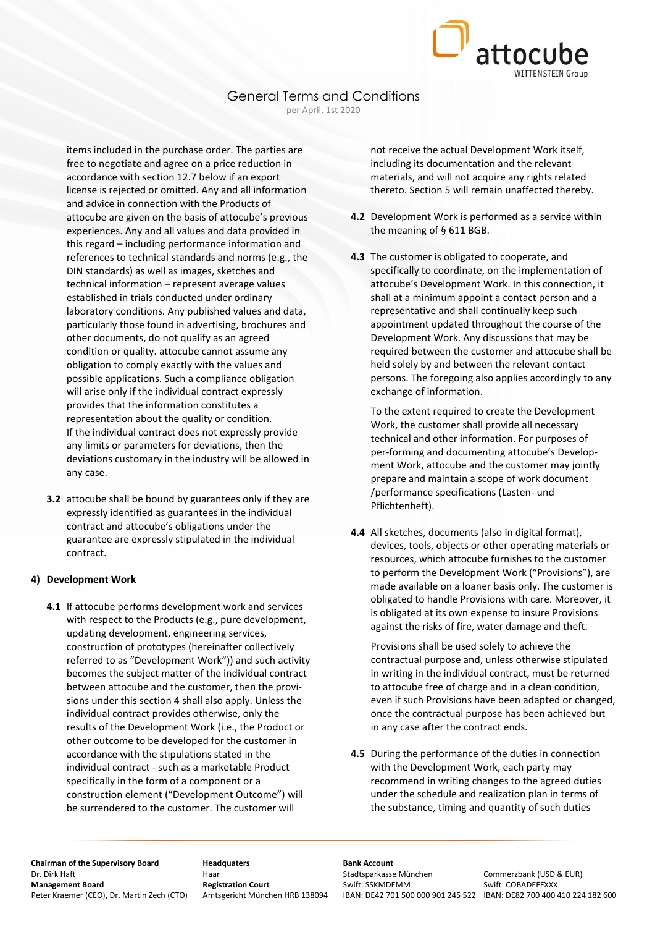

items included in the purchase order. The parties are free to negotiate and agree on a price reduction in accordance with section 12.7 below if an export license is rejected or omitted. Any and all information and advice in connection with the Products of attocube are given on the basis of attocube's previous experiences. Any and all values and data provided in this regard – including performance information and references to technical standards and norms (e.g., the DIN standards) as well as images, sketches and technical information – represent average values established in trials conducted under ordinary laboratory conditions. Any published values and data, particularly those found in advertising, brochures and other documents, do not qualify as an agreed condition or quality. attocube cannot assume any obligation to comply exactly with the values and possible applications. Such a compliance obligation will arise only if the individual contract expressly provides that the information constitutes a representation about the quality or condition. If the individual contract does not expressly provide any limits or parameters for deviations, then the deviations customary in the industry will be allowed in any case.

**3.2** attocube shall be bound by guarantees only if they are expressly identified as guarantees in the individual contract and attocube's obligations under the guarantee are expressly stipulated in the individual contract.

#### **4) Development Work**

**4.1** If attocube performs development work and services with respect to the Products (e.g., pure development, updating development, engineering services, construction of prototypes (hereinafter collectively referred to as "Development Work")) and such activity becomes the subject matter of the individual contract between attocube and the customer, then the provisions under this section 4 shall also apply. Unless the individual contract provides otherwise, only the results of the Development Work (i.e., the Product or other outcome to be developed for the customer in accordance with the stipulations stated in the individual contract - such as a marketable Product specifically in the form of a component or a construction element ("Development Outcome") will be surrendered to the customer. The customer will

not receive the actual Development Work itself, including its documentation and the relevant materials, and will not acquire any rights related thereto. Section 5 will remain unaffected thereby.

- **4.2** Development Work is performed as a service within the meaning of § 611 BGB.
- **4.3** The customer is obligated to cooperate, and specifically to coordinate, on the implementation of attocube's Development Work. In this connection, it shall at a minimum appoint a contact person and a representative and shall continually keep such appointment updated throughout the course of the Development Work. Any discussions that may be required between the customer and attocube shall be held solely by and between the relevant contact persons. The foregoing also applies accordingly to any exchange of information.

To the extent required to create the Development Work, the customer shall provide all necessary technical and other information. For purposes of per-forming and documenting attocube's Development Work, attocube and the customer may jointly prepare and maintain a scope of work document /performance specifications (Lasten- und Pflichtenheft).

**4.4** All sketches, documents (also in digital format), devices, tools, objects or other operating materials or resources, which attocube furnishes to the customer to perform the Development Work ("Provisions"), are made available on a loaner basis only. The customer is obligated to handle Provisions with care. Moreover, it is obligated at its own expense to insure Provisions against the risks of fire, water damage and theft.

Provisions shall be used solely to achieve the contractual purpose and, unless otherwise stipulated in writing in the individual contract, must be returned to attocube free of charge and in a clean condition, even if such Provisions have been adapted or changed, once the contractual purpose has been achieved but in any case after the contract ends.

**4.5** During the performance of the duties in connection with the Development Work, each party may recommend in writing changes to the agreed duties under the schedule and realization plan in terms of the substance, timing and quantity of such duties

**Chairman of the Supervisory Board Headquaters Bank Account**<br> **Bank Account Bank Account**<br>
Haar **Bank Board** Stadtsparkasse München Dr. Dirk Haft **Haar** Haar Haar Stadtsparkasse München Commerzbank (USD & EUR)<br> **Stadtsparkasse München Stadtsparkasse München Stadtsparkasse München Stadtsparkasse München Swift: COBADFFFXXX** Peter Kraemer (CEO), Dr. Martin Zech (CTO) Amtsgericht München HRB 138094 IBAN: DE42 701 500 000 901 245 522 IBAN: DE82 700 400 410 224 182 600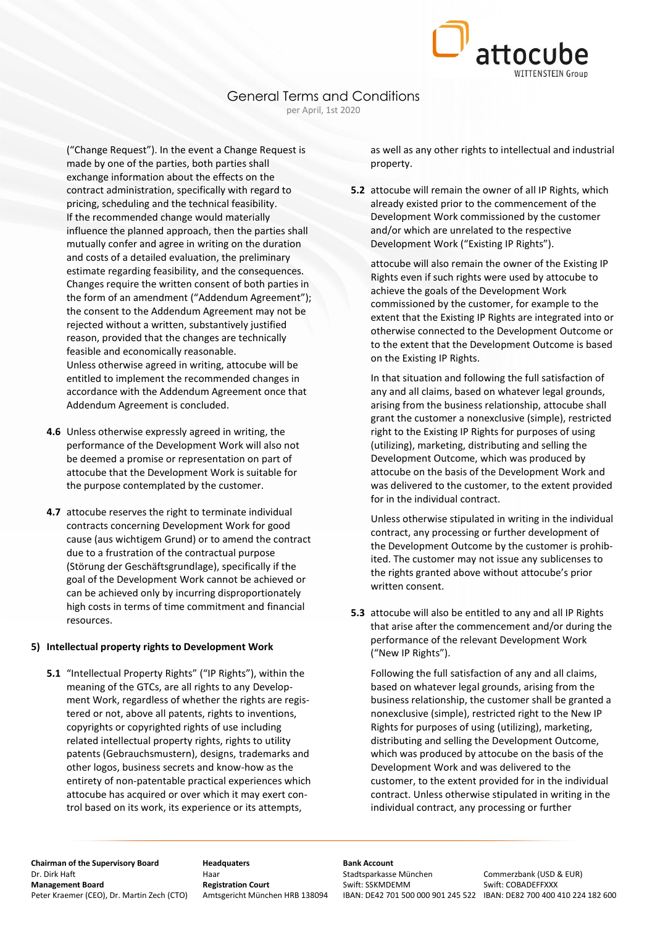

("Change Request"). In the event a Change Request is made by one of the parties, both parties shall exchange information about the effects on the contract administration, specifically with regard to pricing, scheduling and the technical feasibility. If the recommended change would materially influence the planned approach, then the parties shall mutually confer and agree in writing on the duration and costs of a detailed evaluation, the preliminary estimate regarding feasibility, and the consequences. Changes require the written consent of both parties in the form of an amendment ("Addendum Agreement"); the consent to the Addendum Agreement may not be rejected without a written, substantively justified reason, provided that the changes are technically feasible and economically reasonable. Unless otherwise agreed in writing, attocube will be entitled to implement the recommended changes in accordance with the Addendum Agreement once that Addendum Agreement is concluded.

- **4.6** Unless otherwise expressly agreed in writing, the performance of the Development Work will also not be deemed a promise or representation on part of attocube that the Development Work is suitable for the purpose contemplated by the customer.
- **4.7** attocube reserves the right to terminate individual contracts concerning Development Work for good cause (aus wichtigem Grund) or to amend the contract due to a frustration of the contractual purpose (Störung der Geschäftsgrundlage), specifically if the goal of the Development Work cannot be achieved or can be achieved only by incurring disproportionately high costs in terms of time commitment and financial resources.

#### **5) Intellectual property rights to Development Work**

**5.1** "Intellectual Property Rights" ("IP Rights"), within the meaning of the GTCs, are all rights to any Development Work, regardless of whether the rights are registered or not, above all patents, rights to inventions, copyrights or copyrighted rights of use including related intellectual property rights, rights to utility patents (Gebrauchsmustern), designs, trademarks and other logos, business secrets and know-how as the entirety of non-patentable practical experiences which attocube has acquired or over which it may exert control based on its work, its experience or its attempts,

as well as any other rights to intellectual and industrial property.

**5.2** attocube will remain the owner of all IP Rights, which already existed prior to the commencement of the Development Work commissioned by the customer and/or which are unrelated to the respective Development Work ("Existing IP Rights").

attocube will also remain the owner of the Existing IP Rights even if such rights were used by attocube to achieve the goals of the Development Work commissioned by the customer, for example to the extent that the Existing IP Rights are integrated into or otherwise connected to the Development Outcome or to the extent that the Development Outcome is based on the Existing IP Rights.

In that situation and following the full satisfaction of any and all claims, based on whatever legal grounds, arising from the business relationship, attocube shall grant the customer a nonexclusive (simple), restricted right to the Existing IP Rights for purposes of using (utilizing), marketing, distributing and selling the Development Outcome, which was produced by attocube on the basis of the Development Work and was delivered to the customer, to the extent provided for in the individual contract.

Unless otherwise stipulated in writing in the individual contract, any processing or further development of the Development Outcome by the customer is prohibited. The customer may not issue any sublicenses to the rights granted above without attocube's prior written consent.

**5.3** attocube will also be entitled to any and all IP Rights that arise after the commencement and/or during the performance of the relevant Development Work ("New IP Rights").

Following the full satisfaction of any and all claims, based on whatever legal grounds, arising from the business relationship, the customer shall be granted a nonexclusive (simple), restricted right to the New IP Rights for purposes of using (utilizing), marketing, distributing and selling the Development Outcome, which was produced by attocube on the basis of the Development Work and was delivered to the customer, to the extent provided for in the individual contract. Unless otherwise stipulated in writing in the individual contract, any processing or further

**Chairman of the Supervisory Board Headquaters Bank Account**<br> **Bank Account Bank Account**<br>
Haar **Bank Board** Stadtsparkasse München Dr. Dirk Haft **Haar** Haar Haar Stadtsparkasse München Commerzbank (USD & EUR)<br> **Stadtsparkasse München Stadtsparkasse München Stadtsparkasse München Stadtsparkasse München Swift: COBADFFFXXX** Peter Kraemer (CEO), Dr. Martin Zech (CTO) Amtsgericht München HRB 138094 IBAN: DE42 701 500 000 901 245 522 IBAN: DE82 700 400 410 224 182 600

**Swift: SSKMDEMM Swift: COBADEFFXXX**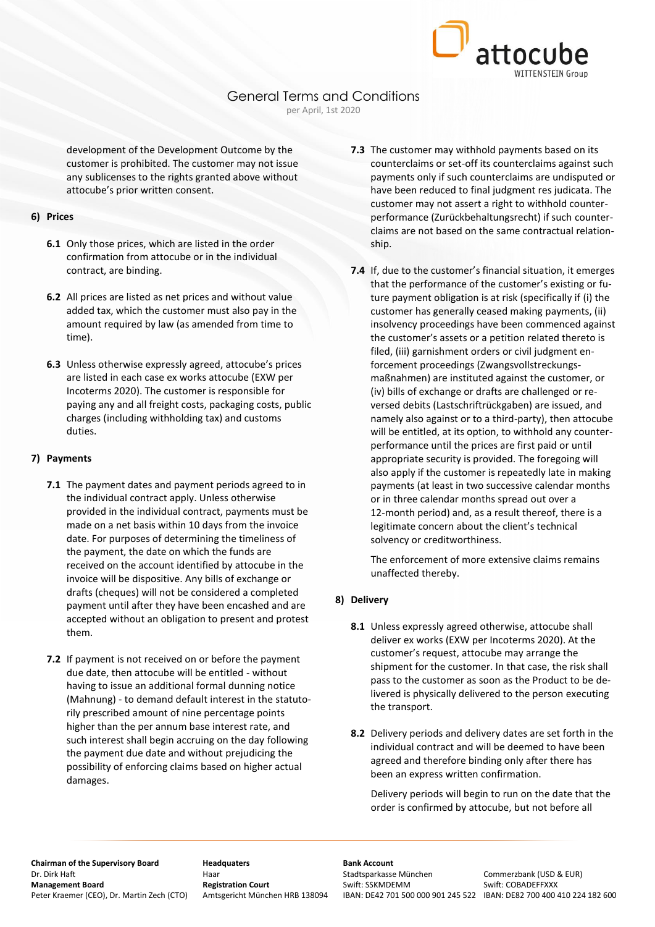

development of the Development Outcome by the customer is prohibited. The customer may not issue any sublicenses to the rights granted above without attocube's prior written consent.

#### **6) Prices**

- **6.1** Only those prices, which are listed in the order confirmation from attocube or in the individual contract, are binding.
- **6.2** All prices are listed as net prices and without value added tax, which the customer must also pay in the amount required by law (as amended from time to time).
- **6.3** Unless otherwise expressly agreed, attocube's prices are listed in each case ex works attocube (EXW per Incoterms 2020). The customer is responsible for paying any and all freight costs, packaging costs, public charges (including withholding tax) and customs duties.

#### **7) Payments**

- **7.1** The payment dates and payment periods agreed to in the individual contract apply. Unless otherwise provided in the individual contract, payments must be made on a net basis within 10 days from the invoice date. For purposes of determining the timeliness of the payment, the date on which the funds are received on the account identified by attocube in the invoice will be dispositive. Any bills of exchange or drafts (cheques) will not be considered a completed payment until after they have been encashed and are accepted without an obligation to present and protest them.
- **7.2** If payment is not received on or before the payment due date, then attocube will be entitled - without having to issue an additional formal dunning notice (Mahnung) - to demand default interest in the statutorily prescribed amount of nine percentage points higher than the per annum base interest rate, and such interest shall begin accruing on the day following the payment due date and without prejudicing the possibility of enforcing claims based on higher actual damages.
- **7.3** The customer may withhold payments based on its counterclaims or set-off its counterclaims against such payments only if such counterclaims are undisputed or have been reduced to final judgment res judicata. The customer may not assert a right to withhold counterperformance (Zurückbehaltungsrecht) if such counterclaims are not based on the same contractual relationship.
- **7.4** If, due to the customer's financial situation, it emerges that the performance of the customer's existing or future payment obligation is at risk (specifically if (i) the customer has generally ceased making payments, (ii) insolvency proceedings have been commenced against the customer's assets or a petition related thereto is filed, (iii) garnishment orders or civil judgment enforcement proceedings (Zwangsvollstreckungsmaßnahmen) are instituted against the customer, or (iv) bills of exchange or drafts are challenged or reversed debits (Lastschriftrückgaben) are issued, and namely also against or to a third-party), then attocube will be entitled, at its option, to withhold any counterperformance until the prices are first paid or until appropriate security is provided. The foregoing will also apply if the customer is repeatedly late in making payments (at least in two successive calendar months or in three calendar months spread out over a 12-month period) and, as a result thereof, there is a legitimate concern about the client's technical solvency or creditworthiness.

The enforcement of more extensive claims remains unaffected thereby.

#### **8) Delivery**

- **8.1** Unless expressly agreed otherwise, attocube shall deliver ex works (EXW per Incoterms 2020). At the customer's request, attocube may arrange the shipment for the customer. In that case, the risk shall pass to the customer as soon as the Product to be delivered is physically delivered to the person executing the transport.
- **8.2** Delivery periods and delivery dates are set forth in the individual contract and will be deemed to have been agreed and therefore binding only after there has been an express written confirmation.

Delivery periods will begin to run on the date that the order is confirmed by attocube, but not before all

# **Chairman of the Supervisory Board Headquaters Bank Account**<br> **Bank Account Bank Account**<br>
Haar **Bank Board** Stadtsparkasse München Dr. Dirk Haft **Haar** Haar Haar Stadtsparkasse München Commerzbank (USD & EUR)<br> **Stadtsparkasse München Stadtsparkasse München Stadtsparkasse München Stadtsparkasse München Swift: COBADFFFXXX** Peter Kraemer (CEO), Dr. Martin Zech (CTO) Amtsgericht München HRB 138094 IBAN: DE42 701 500 000 901 245 522 IBAN: DE82 700 400 410 224 182 600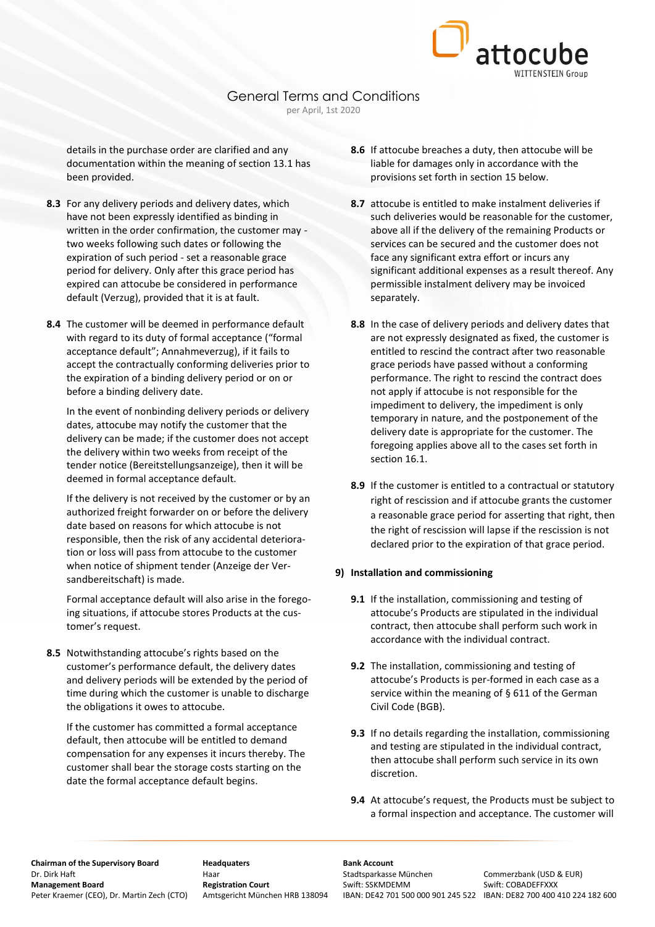

details in the purchase order are clarified and any documentation within the meaning of section 13.1 has been provided.

- **8.3** For any delivery periods and delivery dates, which have not been expressly identified as binding in written in the order confirmation, the customer may two weeks following such dates or following the expiration of such period - set a reasonable grace period for delivery. Only after this grace period has expired can attocube be considered in performance default (Verzug), provided that it is at fault.
- **8.4** The customer will be deemed in performance default with regard to its duty of formal acceptance ("formal acceptance default"; Annahmeverzug), if it fails to accept the contractually conforming deliveries prior to the expiration of a binding delivery period or on or before a binding delivery date.

In the event of nonbinding delivery periods or delivery dates, attocube may notify the customer that the delivery can be made; if the customer does not accept the delivery within two weeks from receipt of the tender notice (Bereitstellungsanzeige), then it will be deemed in formal acceptance default.

If the delivery is not received by the customer or by an authorized freight forwarder on or before the delivery date based on reasons for which attocube is not responsible, then the risk of any accidental deterioration or loss will pass from attocube to the customer when notice of shipment tender (Anzeige der Versandbereitschaft) is made.

Formal acceptance default will also arise in the foregoing situations, if attocube stores Products at the customer's request.

**8.5** Notwithstanding attocube's rights based on the customer's performance default, the delivery dates and delivery periods will be extended by the period of time during which the customer is unable to discharge the obligations it owes to attocube.

If the customer has committed a formal acceptance default, then attocube will be entitled to demand compensation for any expenses it incurs thereby. The customer shall bear the storage costs starting on the date the formal acceptance default begins.

- **8.6** If attocube breaches a duty, then attocube will be liable for damages only in accordance with the provisions set forth in section 15 below.
- **8.7** attocube is entitled to make instalment deliveries if such deliveries would be reasonable for the customer, above all if the delivery of the remaining Products or services can be secured and the customer does not face any significant extra effort or incurs any significant additional expenses as a result thereof. Any permissible instalment delivery may be invoiced separately.
- **8.8** In the case of delivery periods and delivery dates that are not expressly designated as fixed, the customer is entitled to rescind the contract after two reasonable grace periods have passed without a conforming performance. The right to rescind the contract does not apply if attocube is not responsible for the impediment to delivery, the impediment is only temporary in nature, and the postponement of the delivery date is appropriate for the customer. The foregoing applies above all to the cases set forth in section 16.1.
- **8.9** If the customer is entitled to a contractual or statutory right of rescission and if attocube grants the customer a reasonable grace period for asserting that right, then the right of rescission will lapse if the rescission is not declared prior to the expiration of that grace period.

#### **9) Installation and commissioning**

- **9.1** If the installation, commissioning and testing of attocube's Products are stipulated in the individual contract, then attocube shall perform such work in accordance with the individual contract.
- **9.2** The installation, commissioning and testing of attocube's Products is per-formed in each case as a service within the meaning of § 611 of the German Civil Code (BGB).
- **9.3** If no details regarding the installation, commissioning and testing are stipulated in the individual contract, then attocube shall perform such service in its own discretion.
- **9.4** At attocube's request, the Products must be subject to a formal inspection and acceptance. The customer will

**Chairman of the Supervisory Board Headquaters Bank Account**<br> **Bank Account Bank Account**<br>
Haar **Bank Account** Stadtsparkasse München Dr. Dirk Haft **Haar** Haar Haar Stadtsparkasse München Commerzbank (USD & EUR)<br> **Stadtsparkasse München Stadtsparkasse München Stadtsparkasse München Stadtsparkasse München Swift: COBADFFFXXX** Peter Kraemer (CEO), Dr. Martin Zech (CTO) Amtsgericht München HRB 138094 IBAN: DE42 701 500 000 901 245 522 IBAN: DE82 700 400 410 224 182 600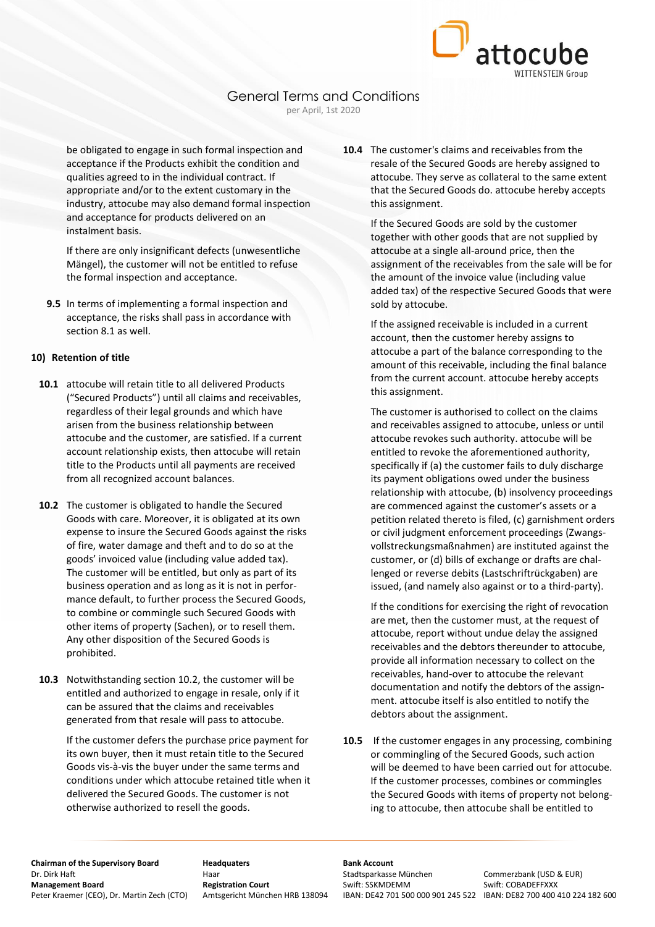be obligated to engage in such formal inspection and acceptance if the Products exhibit the condition and qualities agreed to in the individual contract. If appropriate and/or to the extent customary in the industry, attocube may also demand formal inspection and acceptance for products delivered on an instalment basis.

If there are only insignificant defects (unwesentliche Mängel), the customer will not be entitled to refuse the formal inspection and acceptance.

**9.5** In terms of implementing a formal inspection and acceptance, the risks shall pass in accordance with section 8.1 as well.

## **10) Retention of title**

- **10.1** attocube will retain title to all delivered Products ("Secured Products") until all claims and receivables, regardless of their legal grounds and which have arisen from the business relationship between attocube and the customer, are satisfied. If a current account relationship exists, then attocube will retain title to the Products until all payments are received from all recognized account balances.
- **10.2** The customer is obligated to handle the Secured Goods with care. Moreover, it is obligated at its own expense to insure the Secured Goods against the risks of fire, water damage and theft and to do so at the goods' invoiced value (including value added tax). The customer will be entitled, but only as part of its business operation and as long as it is not in performance default, to further process the Secured Goods, to combine or commingle such Secured Goods with other items of property (Sachen), or to resell them. Any other disposition of the Secured Goods is prohibited.
- **10.3** Notwithstanding section 10.2, the customer will be entitled and authorized to engage in resale, only if it can be assured that the claims and receivables generated from that resale will pass to attocube.

If the customer defers the purchase price payment for its own buyer, then it must retain title to the Secured Goods vis-à-vis the buyer under the same terms and conditions under which attocube retained title when it delivered the Secured Goods. The customer is not otherwise authorized to resell the goods.

**10.4** The customer's claims and receivables from the resale of the Secured Goods are hereby assigned to attocube. They serve as collateral to the same extent that the Secured Goods do. attocube hereby accepts this assignment.

attocube

If the Secured Goods are sold by the customer together with other goods that are not supplied by attocube at a single all-around price, then the assignment of the receivables from the sale will be for the amount of the invoice value (including value added tax) of the respective Secured Goods that were sold by attocube.

If the assigned receivable is included in a current account, then the customer hereby assigns to attocube a part of the balance corresponding to the amount of this receivable, including the final balance from the current account. attocube hereby accepts this assignment.

The customer is authorised to collect on the claims and receivables assigned to attocube, unless or until attocube revokes such authority. attocube will be entitled to revoke the aforementioned authority, specifically if (a) the customer fails to duly discharge its payment obligations owed under the business relationship with attocube, (b) insolvency proceedings are commenced against the customer's assets or a petition related thereto is filed, (c) garnishment orders or civil judgment enforcement proceedings (Zwangsvollstreckungsmaßnahmen) are instituted against the customer, or (d) bills of exchange or drafts are challenged or reverse debits (Lastschriftrückgaben) are issued, (and namely also against or to a third-party).

If the conditions for exercising the right of revocation are met, then the customer must, at the request of attocube, report without undue delay the assigned receivables and the debtors thereunder to attocube, provide all information necessary to collect on the receivables, hand-over to attocube the relevant documentation and notify the debtors of the assignment. attocube itself is also entitled to notify the debtors about the assignment.

**10.5** If the customer engages in any processing, combining or commingling of the Secured Goods, such action will be deemed to have been carried out for attocube. If the customer processes, combines or commingles the Secured Goods with items of property not belonging to attocube, then attocube shall be entitled to

**Chairman of the Supervisory Board Headquaters Bank Account**<br> **Bank Account Bank Account**<br>
Haar **Bank Board** Stadtsparkasse München Dr. Dirk Haft **Haar** Haar Haar Stadtsparkasse München Commerzbank (USD & EUR)<br> **Stadtsparkasse München Stadtsparkasse München Stadtsparkasse München Stadtsparkasse München Swift: COBADFFFXXX** Peter Kraemer (CEO), Dr. Martin Zech (CTO) Amtsgericht München HRB 138094 IBAN: DE42 701 500 000 901 245 522 IBAN: DE82 700 400 410 224 182 600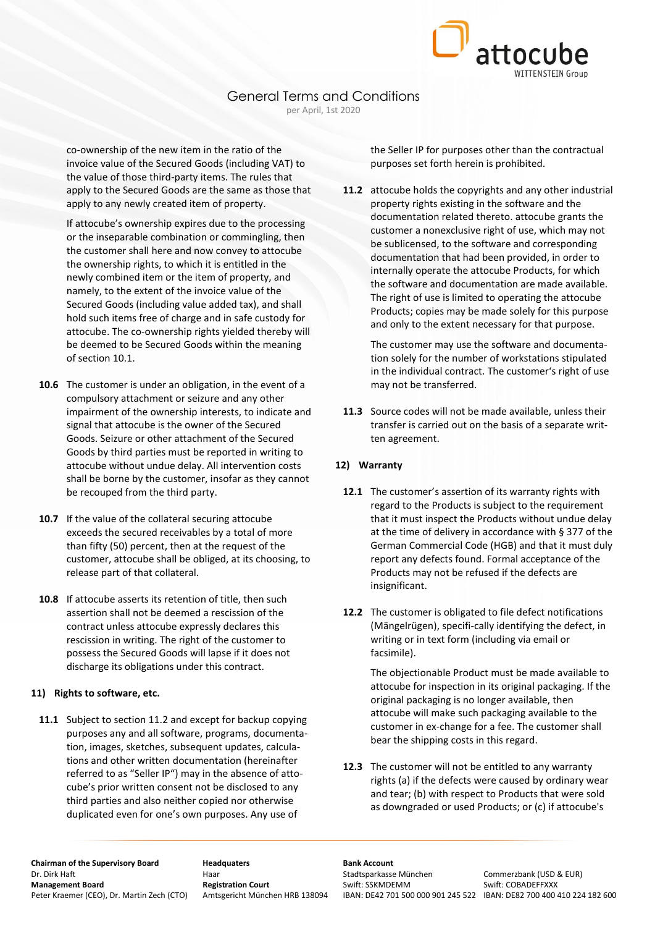

co-ownership of the new item in the ratio of the invoice value of the Secured Goods (including VAT) to the value of those third-party items. The rules that apply to the Secured Goods are the same as those that apply to any newly created item of property.

If attocube's ownership expires due to the processing or the inseparable combination or commingling, then the customer shall here and now convey to attocube the ownership rights, to which it is entitled in the newly combined item or the item of property, and namely, to the extent of the invoice value of the Secured Goods (including value added tax), and shall hold such items free of charge and in safe custody for attocube. The co-ownership rights yielded thereby will be deemed to be Secured Goods within the meaning of section 10.1.

- **10.6** The customer is under an obligation, in the event of a compulsory attachment or seizure and any other impairment of the ownership interests, to indicate and signal that attocube is the owner of the Secured Goods. Seizure or other attachment of the Secured Goods by third parties must be reported in writing to attocube without undue delay. All intervention costs shall be borne by the customer, insofar as they cannot be recouped from the third party.
- **10.7** If the value of the collateral securing attocube exceeds the secured receivables by a total of more than fifty (50) percent, then at the request of the customer, attocube shall be obliged, at its choosing, to release part of that collateral.
- **10.8** If attocube asserts its retention of title, then such assertion shall not be deemed a rescission of the contract unless attocube expressly declares this rescission in writing. The right of the customer to possess the Secured Goods will lapse if it does not discharge its obligations under this contract.

#### **11) Rights to software, etc.**

**11.1** Subject to section 11.2 and except for backup copying purposes any and all software, programs, documentation, images, sketches, subsequent updates, calculations and other written documentation (hereinafter referred to as "Seller IP") may in the absence of attocube's prior written consent not be disclosed to any third parties and also neither copied nor otherwise duplicated even for one's own purposes. Any use of

the Seller IP for purposes other than the contractual purposes set forth herein is prohibited.

**11.2** attocube holds the copyrights and any other industrial property rights existing in the software and the documentation related thereto. attocube grants the customer a nonexclusive right of use, which may not be sublicensed, to the software and corresponding documentation that had been provided, in order to internally operate the attocube Products, for which the software and documentation are made available. The right of use is limited to operating the attocube Products; copies may be made solely for this purpose and only to the extent necessary for that purpose.

The customer may use the software and documentation solely for the number of workstations stipulated in the individual contract. The customer's right of use may not be transferred.

**11.3** Source codes will not be made available, unless their transfer is carried out on the basis of a separate written agreement.

#### **12) Warranty**

- **12.1** The customer's assertion of its warranty rights with regard to the Products is subject to the requirement that it must inspect the Products without undue delay at the time of delivery in accordance with § 377 of the German Commercial Code (HGB) and that it must duly report any defects found. Formal acceptance of the Products may not be refused if the defects are insignificant.
- **12.2** The customer is obligated to file defect notifications (Mängelrügen), specifi-cally identifying the defect, in writing or in text form (including via email or facsimile).

The objectionable Product must be made available to attocube for inspection in its original packaging. If the original packaging is no longer available, then attocube will make such packaging available to the customer in ex-change for a fee. The customer shall bear the shipping costs in this regard.

**12.3** The customer will not be entitled to any warranty rights (a) if the defects were caused by ordinary wear and tear; (b) with respect to Products that were sold as downgraded or used Products; or (c) if attocube's

**Chairman of the Supervisory Board Headquaters Bank Account**<br> **Bank Account Bank Account**<br>
Haar **Bank Board** Stadtsparkasse München Dr. Dirk Haft **Haar** Haar Haar Stadtsparkasse München Commerzbank (USD & EUR)<br> **Stadtsparkasse München Stadtsparkasse München Stadtsparkasse München Stadtsparkasse München Swift: COBADFFFXXX** Peter Kraemer (CEO), Dr. Martin Zech (CTO) Amtsgericht München HRB 138094 IBAN: DE42 701 500 000 901 245 522 IBAN: DE82 700 400 410 224 182 600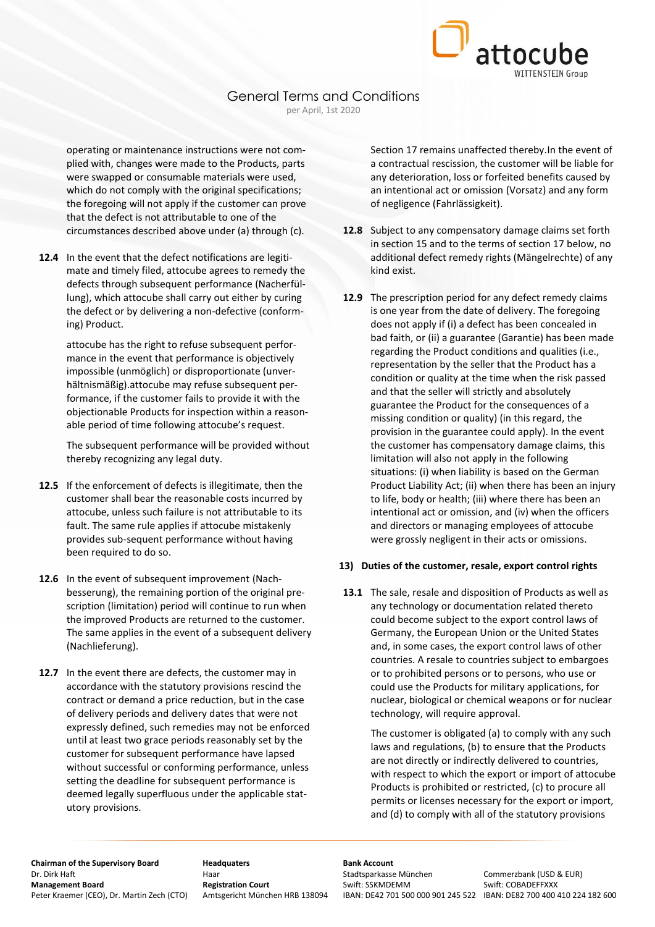

operating or maintenance instructions were not complied with, changes were made to the Products, parts were swapped or consumable materials were used, which do not comply with the original specifications; the foregoing will not apply if the customer can prove that the defect is not attributable to one of the circumstances described above under (a) through (c).

**12.4** In the event that the defect notifications are legitimate and timely filed, attocube agrees to remedy the defects through subsequent performance (Nacherfüllung), which attocube shall carry out either by curing the defect or by delivering a non-defective (conforming) Product.

attocube has the right to refuse subsequent performance in the event that performance is objectively impossible (unmöglich) or disproportionate (unverhältnismäßig).attocube may refuse subsequent performance, if the customer fails to provide it with the objectionable Products for inspection within a reasonable period of time following attocube's request.

The subsequent performance will be provided without thereby recognizing any legal duty.

- **12.5** If the enforcement of defects is illegitimate, then the customer shall bear the reasonable costs incurred by attocube, unless such failure is not attributable to its fault. The same rule applies if attocube mistakenly provides sub-sequent performance without having been required to do so.
- **12.6** In the event of subsequent improvement (Nachbesserung), the remaining portion of the original prescription (limitation) period will continue to run when the improved Products are returned to the customer. The same applies in the event of a subsequent delivery (Nachlieferung).
- **12.7** In the event there are defects, the customer may in accordance with the statutory provisions rescind the contract or demand a price reduction, but in the case of delivery periods and delivery dates that were not expressly defined, such remedies may not be enforced until at least two grace periods reasonably set by the customer for subsequent performance have lapsed without successful or conforming performance, unless setting the deadline for subsequent performance is deemed legally superfluous under the applicable statutory provisions.

Section 17 remains unaffected thereby.In the event of a contractual rescission, the customer will be liable for any deterioration, loss or forfeited benefits caused by an intentional act or omission (Vorsatz) and any form of negligence (Fahrlässigkeit).

- **12.8** Subject to any compensatory damage claims set forth in section 15 and to the terms of section 17 below, no additional defect remedy rights (Mängelrechte) of any kind exist.
- **12.9** The prescription period for any defect remedy claims is one year from the date of delivery. The foregoing does not apply if (i) a defect has been concealed in bad faith, or (ii) a guarantee (Garantie) has been made regarding the Product conditions and qualities (i.e., representation by the seller that the Product has a condition or quality at the time when the risk passed and that the seller will strictly and absolutely guarantee the Product for the consequences of a missing condition or quality) (in this regard, the provision in the guarantee could apply). In the event the customer has compensatory damage claims, this limitation will also not apply in the following situations: (i) when liability is based on the German Product Liability Act; (ii) when there has been an injury to life, body or health; (iii) where there has been an intentional act or omission, and (iv) when the officers and directors or managing employees of attocube were grossly negligent in their acts or omissions.

#### **13) Duties of the customer, resale, export control rights**

**13.1** The sale, resale and disposition of Products as well as any technology or documentation related thereto could become subject to the export control laws of Germany, the European Union or the United States and, in some cases, the export control laws of other countries. A resale to countries subject to embargoes or to prohibited persons or to persons, who use or could use the Products for military applications, for nuclear, biological or chemical weapons or for nuclear technology, will require approval.

> The customer is obligated (a) to comply with any such laws and regulations, (b) to ensure that the Products are not directly or indirectly delivered to countries, with respect to which the export or import of attocube Products is prohibited or restricted, (c) to procure all permits or licenses necessary for the export or import, and (d) to comply with all of the statutory provisions

**Chairman of the Supervisory Board Headquaters Bank Account**<br> **Bank Account Bank Account**<br>
Haar **Bank Board** Stadtsparkasse München Dr. Dirk Haft **Haar** Haar Haar Stadtsparkasse München Commerzbank (USD & EUR)<br> **Stadtsparkasse München Stadtsparkasse München Stadtsparkasse München Stadtsparkasse München Swift: COBADFFFXXX** Peter Kraemer (CEO), Dr. Martin Zech (CTO) Amtsgericht München HRB 138094 IBAN: DE42 701 500 000 901 245 522 IBAN: DE82 700 400 410 224 182 600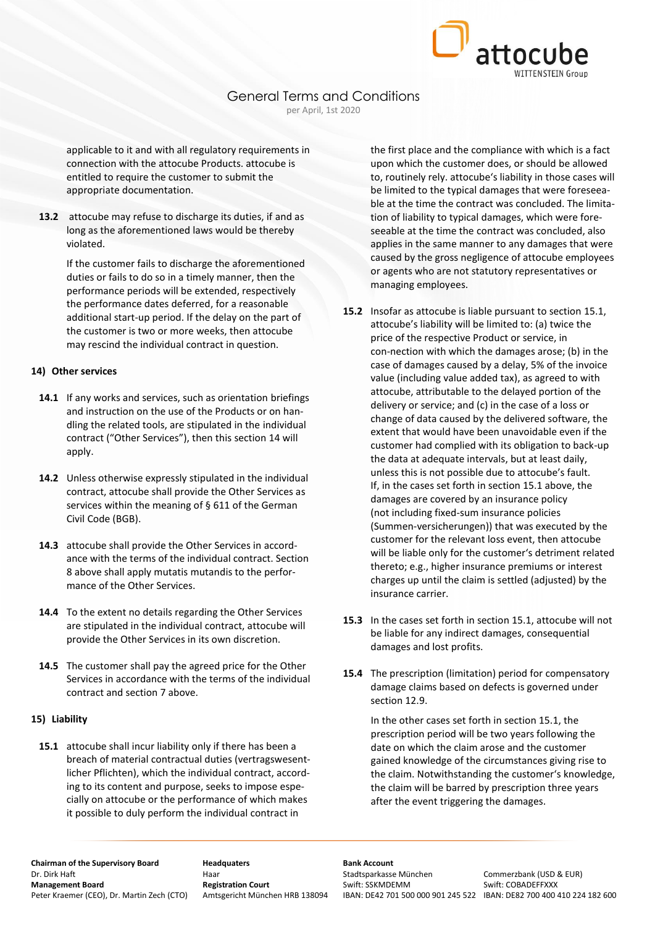

applicable to it and with all regulatory requirements in connection with the attocube Products. attocube is entitled to require the customer to submit the appropriate documentation.

**13.2** attocube may refuse to discharge its duties, if and as long as the aforementioned laws would be thereby violated.

If the customer fails to discharge the aforementioned duties or fails to do so in a timely manner, then the performance periods will be extended, respectively the performance dates deferred, for a reasonable additional start-up period. If the delay on the part of the customer is two or more weeks, then attocube may rescind the individual contract in question.

#### **14) Other services**

- **14.1** If any works and services, such as orientation briefings and instruction on the use of the Products or on handling the related tools, are stipulated in the individual contract ("Other Services"), then this section 14 will apply.
- **14.2** Unless otherwise expressly stipulated in the individual contract, attocube shall provide the Other Services as services within the meaning of § 611 of the German Civil Code (BGB).
- **14.3** attocube shall provide the Other Services in accordance with the terms of the individual contract. Section 8 above shall apply mutatis mutandis to the performance of the Other Services.
- **14.4** To the extent no details regarding the Other Services are stipulated in the individual contract, attocube will provide the Other Services in its own discretion.
- **14.5** The customer shall pay the agreed price for the Other Services in accordance with the terms of the individual contract and section 7 above.

#### **15) Liability**

**15.1** attocube shall incur liability only if there has been a breach of material contractual duties (vertragswesentlicher Pflichten), which the individual contract, according to its content and purpose, seeks to impose especially on attocube or the performance of which makes it possible to duly perform the individual contract in

the first place and the compliance with which is a fact upon which the customer does, or should be allowed to, routinely rely. attocube's liability in those cases will be limited to the typical damages that were foreseeable at the time the contract was concluded. The limitation of liability to typical damages, which were foreseeable at the time the contract was concluded, also applies in the same manner to any damages that were caused by the gross negligence of attocube employees or agents who are not statutory representatives or managing employees.

- **15.2** Insofar as attocube is liable pursuant to section 15.1, attocube's liability will be limited to: (a) twice the price of the respective Product or service, in con-nection with which the damages arose; (b) in the case of damages caused by a delay, 5% of the invoice value (including value added tax), as agreed to with attocube, attributable to the delayed portion of the delivery or service; and (c) in the case of a loss or change of data caused by the delivered software, the extent that would have been unavoidable even if the customer had complied with its obligation to back-up the data at adequate intervals, but at least daily, unless this is not possible due to attocube's fault. If, in the cases set forth in section 15.1 above, the damages are covered by an insurance policy (not including fixed-sum insurance policies (Summen-versicherungen)) that was executed by the customer for the relevant loss event, then attocube will be liable only for the customer's detriment related thereto; e.g., higher insurance premiums or interest charges up until the claim is settled (adjusted) by the insurance carrier.
- **15.3** In the cases set forth in section 15.1, attocube will not be liable for any indirect damages, consequential damages and lost profits.
- **15.4** The prescription (limitation) period for compensatory damage claims based on defects is governed under section 12.9.

In the other cases set forth in section 15.1, the prescription period will be two years following the date on which the claim arose and the customer gained knowledge of the circumstances giving rise to the claim. Notwithstanding the customer's knowledge, the claim will be barred by prescription three years after the event triggering the damages.

**Chairman of the Supervisory Board Headquaters Bank Account**<br> **Bank Account Bank Account**<br>
Haar **Bank Board** Stadtsparkasse München Dr. Dirk Haft **Haar** Haar Haar Stadtsparkasse München Commerzbank (USD & EUR)<br> **Stadtsparkasse München Stadtsparkasse München Stadtsparkasse München Stadtsparkasse München Swift: COBADFFFXXX** Peter Kraemer (CEO), Dr. Martin Zech (CTO) Amtsgericht München HRB 138094 IBAN: DE42 701 500 000 901 245 522 IBAN: DE82 700 400 410 224 182 600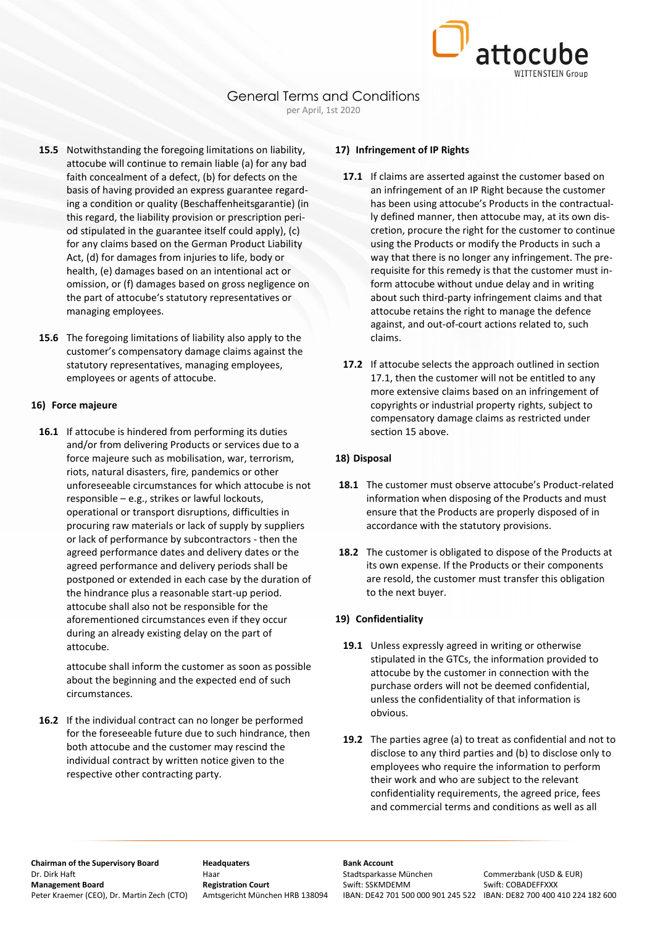

# General Terms and Conditions

per April, 1st 2020

- **15.5** Notwithstanding the foregoing limitations on liability, attocube will continue to remain liable (a) for any bad faith concealment of a defect, (b) for defects on the basis of having provided an express guarantee regarding a condition or quality (Beschaffenheitsgarantie) (in this regard, the liability provision or prescription period stipulated in the guarantee itself could apply), (c) for any claims based on the German Product Liability Act, (d) for damages from injuries to life, body or health, (e) damages based on an intentional act or omission, or (f) damages based on gross negligence on the part of attocube's statutory representatives or managing employees.
- **15.6** The foregoing limitations of liability also apply to the customer's compensatory damage claims against the statutory representatives, managing employees, employees or agents of attocube.

#### **16) Force majeure**

**16.1** If attocube is hindered from performing its duties and/or from delivering Products or services due to a force majeure such as mobilisation, war, terrorism, riots, natural disasters, fire, pandemics or other unforeseeable circumstances for which attocube is not responsible – e.g., strikes or lawful lockouts, operational or transport disruptions, difficulties in procuring raw materials or lack of supply by suppliers or lack of performance by subcontractors - then the agreed performance dates and delivery dates or the agreed performance and delivery periods shall be postponed or extended in each case by the duration of the hindrance plus a reasonable start-up period. attocube shall also not be responsible for the aforementioned circumstances even if they occur during an already existing delay on the part of attocube.

attocube shall inform the customer as soon as possible about the beginning and the expected end of such circumstances.

**16.2** If the individual contract can no longer be performed for the foreseeable future due to such hindrance, then both attocube and the customer may rescind the individual contract by written notice given to the respective other contracting party.

## **17) Infringement of IP Rights**

- **17.1** If claims are asserted against the customer based on an infringement of an IP Right because the customer has been using attocube's Products in the contractually defined manner, then attocube may, at its own discretion, procure the right for the customer to continue using the Products or modify the Products in such a way that there is no longer any infringement. The prerequisite for this remedy is that the customer must inform attocube without undue delay and in writing about such third-party infringement claims and that attocube retains the right to manage the defence against, and out-of-court actions related to, such claims.
- **17.2** If attocube selects the approach outlined in section 17.1, then the customer will not be entitled to any more extensive claims based on an infringement of copyrights or industrial property rights, subject to compensatory damage claims as restricted under section 15 above.

## **18) Disposal**

- **18.1** The customer must observe attocube's Product-related information when disposing of the Products and must ensure that the Products are properly disposed of in accordance with the statutory provisions.
- **18.2** The customer is obligated to dispose of the Products at its own expense. If the Products or their components are resold, the customer must transfer this obligation to the next buyer.

## **19) Confidentiality**

- **19.1** Unless expressly agreed in writing or otherwise stipulated in the GTCs, the information provided to attocube by the customer in connection with the purchase orders will not be deemed confidential, unless the confidentiality of that information is obvious.
- **19.2** The parties agree (a) to treat as confidential and not to disclose to any third parties and (b) to disclose only to employees who require the information to perform their work and who are subject to the relevant confidentiality requirements, the agreed price, fees and commercial terms and conditions as well as all